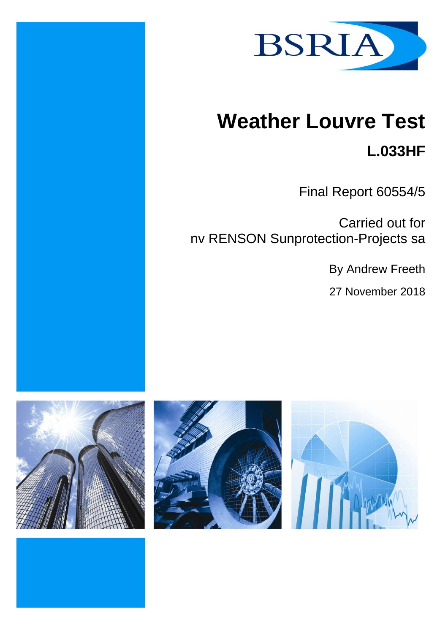

# **Weather Louvre Test**

**L.033HF**

Final Report 60554/5

Carried out for nv RENSON Sunprotection-Projects sa

By Andrew Freeth

27 November 2018





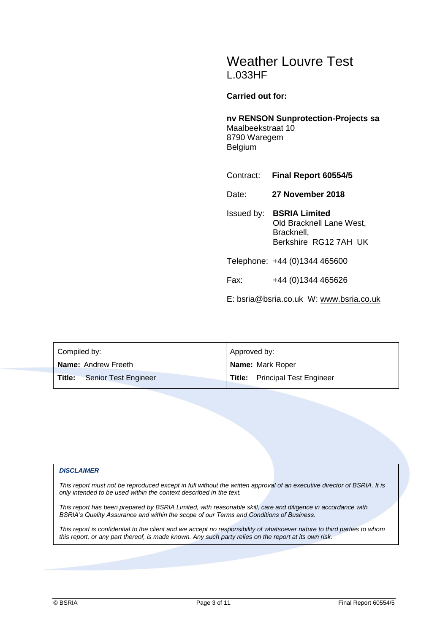# Weather Louvre Test L.033HF

#### **Carried out for:**

## **nv RENSON Sunprotection-Projects sa** Maalbeekstraat 10

8790 Waregem Belgium

Contract: **Final Report 60554/5**

Date: **27 November 2018**

Issued by: **BSRIA Limited** Old Bracknell Lane West, Bracknell, Berkshire RG12 7AH UK

Telephone: +44 (0)1344 465600

Fax: +44 (0)1344 465626

E: bsria@bsria.co.uk W: [www.bsria.co.uk](http://www.bsria.co.uk/)

| Compiled by:                   | Approved by:                          |  |  |
|--------------------------------|---------------------------------------|--|--|
| Name: Andrew Freeth            | Name: Mark Roper                      |  |  |
| Title:<br>Senior Test Engineer | <b>Title:</b> Principal Test Engineer |  |  |

#### *DISCLAIMER*

*This report must not be reproduced except in full without the written approval of an executive director of BSRIA. It is only intended to be used within the context described in the text.*

*This report has been prepared by BSRIA Limited, with reasonable skill, care and diligence in accordance with BSRIA's Quality Assurance and within the scope of our Terms and Conditions of Business.*

*This report is confidential to the client and we accept no responsibility of whatsoever nature to third parties to whom this report, or any part thereof, is made known. Any such party relies on the report at its own risk.*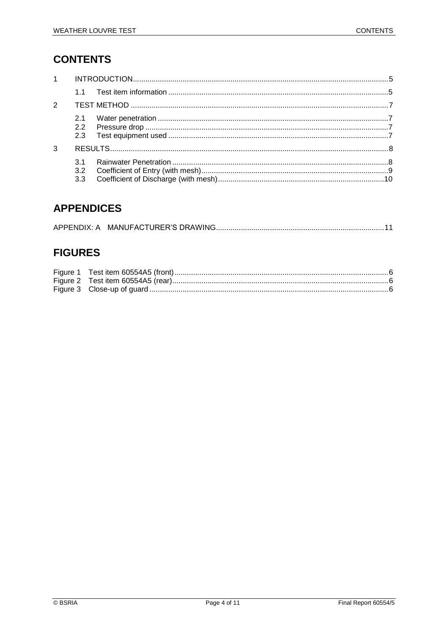# **CONTENTS**

| $1 \quad \blacksquare$ |                             |  |  |  |  |  |
|------------------------|-----------------------------|--|--|--|--|--|
|                        |                             |  |  |  |  |  |
| 2                      |                             |  |  |  |  |  |
|                        | 2.1<br>$2.2^{\circ}$<br>2.3 |  |  |  |  |  |
| 3                      |                             |  |  |  |  |  |
|                        | 3.2<br>3.3                  |  |  |  |  |  |

## **APPENDICES**

# **FIGURES**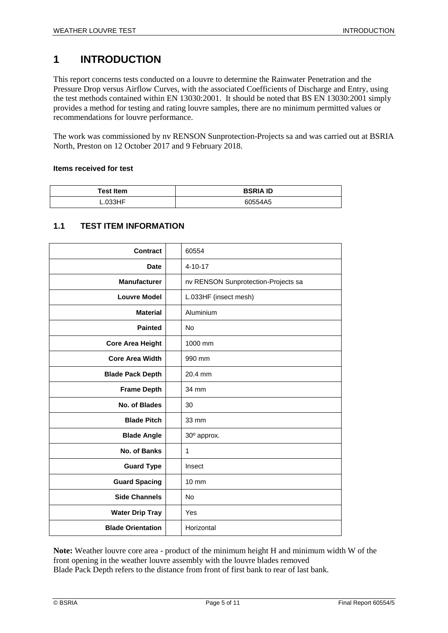# <span id="page-4-0"></span>**1 INTRODUCTION**

This report concerns tests conducted on a louvre to determine the Rainwater Penetration and the Pressure Drop versus Airflow Curves, with the associated Coefficients of Discharge and Entry, using the test methods contained within EN 13030:2001. It should be noted that BS EN 13030:2001 simply provides a method for testing and rating louvre samples, there are no minimum permitted values or recommendations for louvre performance.

The work was commissioned by nv RENSON Sunprotection-Projects sa and was carried out at BSRIA North, Preston on 12 October 2017 and 9 February 2018.

#### **Items received for test**

| <b>Test Item</b> | <b>BSRIA ID</b> |  |
|------------------|-----------------|--|
| L.033HF          | 60554A5         |  |

#### <span id="page-4-1"></span>**1.1 TEST ITEM INFORMATION**

| Contract                 | 60554                               |
|--------------------------|-------------------------------------|
| <b>Date</b>              | $4 - 10 - 17$                       |
| <b>Manufacturer</b>      | nv RENSON Sunprotection-Projects sa |
| <b>Louvre Model</b>      | L.033HF (insect mesh)               |
| <b>Material</b>          | Aluminium                           |
| <b>Painted</b>           | <b>No</b>                           |
| <b>Core Area Height</b>  | 1000 mm                             |
| <b>Core Area Width</b>   | 990 mm                              |
| <b>Blade Pack Depth</b>  | 20.4 mm                             |
| <b>Frame Depth</b>       | 34 mm                               |
| No. of Blades            | 30                                  |
| <b>Blade Pitch</b>       | 33 mm                               |
| <b>Blade Angle</b>       | 30° approx.                         |
| No. of Banks             | $\mathbf{1}$                        |
| <b>Guard Type</b>        | Insect                              |
| <b>Guard Spacing</b>     | $10 \text{ mm}$                     |
| <b>Side Channels</b>     | <b>No</b>                           |
| <b>Water Drip Tray</b>   | Yes                                 |
| <b>Blade Orientation</b> | Horizontal                          |

**Note:** Weather louvre core area - product of the minimum height H and minimum width W of the front opening in the weather louvre assembly with the louvre blades removed Blade Pack Depth refers to the distance from front of first bank to rear of last bank.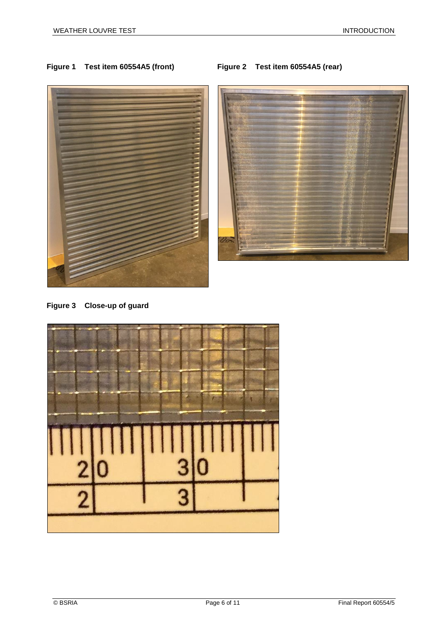## <span id="page-5-1"></span><span id="page-5-0"></span>**Figure 1 Test item 60554A5 (front) Figure 2 Test item 60554A5 (rear)**



<span id="page-5-2"></span>**Figure 3 Close-up of guard**

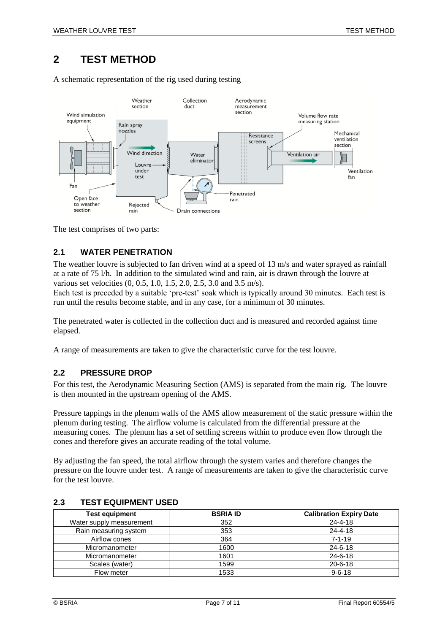## <span id="page-6-0"></span>**2 TEST METHOD**

A schematic representation of the rig used during testing



<span id="page-6-1"></span>The test comprises of two parts:

#### **2.1 WATER PENETRATION**

The weather louvre is subjected to fan driven wind at a speed of 13 m/s and water sprayed as rainfall at a rate of 75 l/h. In addition to the simulated wind and rain, air is drawn through the louvre at various set velocities (0, 0.5, 1.0, 1.5, 2.0, 2.5, 3.0 and 3.5 m/s).

Each test is preceded by a suitable 'pre-test' soak which is typically around 30 minutes. Each test is run until the results become stable, and in any case, for a minimum of 30 minutes.

The penetrated water is collected in the collection duct and is measured and recorded against time elapsed.

<span id="page-6-2"></span>A range of measurements are taken to give the characteristic curve for the test louvre.

#### **2.2 PRESSURE DROP**

For this test, the Aerodynamic Measuring Section (AMS) is separated from the main rig. The louvre is then mounted in the upstream opening of the AMS.

Pressure tappings in the plenum walls of the AMS allow measurement of the static pressure within the plenum during testing. The airflow volume is calculated from the differential pressure at the measuring cones. The plenum has a set of settling screens within to produce even flow through the cones and therefore gives an accurate reading of the total volume.

By adjusting the fan speed, the total airflow through the system varies and therefore changes the pressure on the louvre under test. A range of measurements are taken to give the characteristic curve for the test louvre.

| <b>Test equipment</b>    | <b>BSRIA ID</b> | <b>Calibration Expiry Date</b> |
|--------------------------|-----------------|--------------------------------|
| Water supply measurement | 352             | $24 - 4 - 18$                  |
| Rain measuring system    | 353             | $24 - 4 - 18$                  |
| Airflow cones            | 364             | $7 - 1 - 19$                   |
| Micromanometer           | 1600            | $24 - 6 - 18$                  |
| Micromanometer           | 1601            | $24 - 6 - 18$                  |
| Scales (water)           | 1599            | $20 - 6 - 18$                  |
| Flow meter               | 1533            | $9 - 6 - 18$                   |

#### <span id="page-6-3"></span>**2.3 TEST EQUIPMENT USED**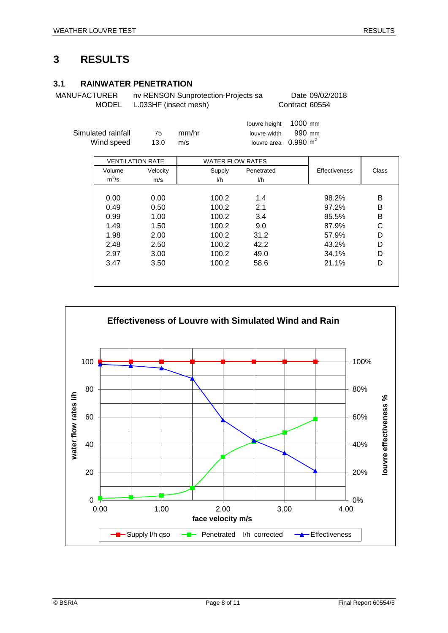## <span id="page-7-0"></span>**3 RESULTS**

### <span id="page-7-1"></span>**3.1 RAINWATER PENETRATION**

MANUFACTURER nv RENSON Sunprotection-Projects sa Date 09/02/2018 MODEL L.033HF (insect mesh) Contract 60554

| Simulated rainfall<br>Wind speed | 75<br>13.0 | mm/hr<br>m/s |                         | louvre height<br>louvre width<br>louvre area | 1000 mm<br>990 mm<br>$0.990 \text{ m}^2$ |                      |       |
|----------------------------------|------------|--------------|-------------------------|----------------------------------------------|------------------------------------------|----------------------|-------|
| <b>VENTILATION RATE</b>          |            |              | <b>WATER FLOW RATES</b> |                                              |                                          |                      |       |
| Volume                           | Velocity   |              | Supply                  | Penetrated                                   |                                          | <b>Effectiveness</b> | Class |
| $m^3/s$                          | m/s        |              | l/h                     | I/h                                          |                                          |                      |       |
|                                  |            |              |                         |                                              |                                          |                      |       |
| 0.00                             | 0.00       |              | 100.2                   | 1.4                                          |                                          | 98.2%                | B     |
| 0.49                             | 0.50       |              | 100.2                   | 2.1                                          |                                          | 97.2%                | B     |
| 0.99                             | 1.00       |              | 100.2                   | 3.4                                          |                                          | 95.5%                | B     |
| 1.49                             | 1.50       |              | 100.2                   | 9.0                                          |                                          | 87.9%                | C     |
| 1.98                             | 2.00       |              | 100.2                   | 31.2                                         |                                          | 57.9%                | D     |
| 2.48                             | 2.50       |              | 100.2                   | 42.2                                         |                                          | 43.2%                | D     |
| 2.97                             | 3.00       |              | 100.2                   | 49.0                                         |                                          | 34.1%                | D     |
| 3.47                             | 3.50       |              | 100.2                   | 58.6                                         |                                          | 21.1%                | D     |

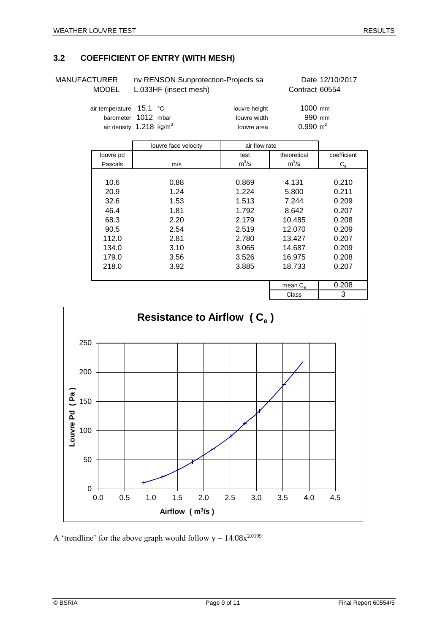## <span id="page-8-0"></span>**3.2 COEFFICIENT OF ENTRY (WITH MESH)**

| MANUFACTURER |   |
|--------------|---|
|              | . |

nv RENSON Sunprotection-Projects sa Date 12/10/2017 MODEL L.033HF (insect mesh) Contract 60554

| air temperature 15.1 °C            |  | louvre height | $1000$ mm           |
|------------------------------------|--|---------------|---------------------|
| barometer 1012 mbar                |  | louvre width  | 990 mm              |
| air density $1.218 \text{ kg/m}^3$ |  | louvre area   | $0.990 \text{ m}^2$ |

|           | louvre face velocity | air flow rate |                   |             |
|-----------|----------------------|---------------|-------------------|-------------|
| louvre pd |                      | test          | theoretical       | coefficient |
| Pascals   | m/s                  | $m^3/s$       | $m^3/s$           | $C_{\rm e}$ |
|           |                      |               |                   |             |
| 10.6      | 0.88                 | 0.869         | 4.131             | 0.210       |
| 20.9      | 1.24                 | 1.224         | 5.800             | 0.211       |
| 32.6      | 1.53                 | 1.513         | 7.244             | 0.209       |
| 46.4      | 1.81                 | 1.792         | 8.642             | 0.207       |
| 68.3      | 2.20                 | 2.179         | 10.485            | 0.208       |
| 90.5      | 2.54                 | 2.519         | 12.070            | 0.209       |
| 112.0     | 2.81                 | 2.780         | 13.427            | 0.207       |
| 134.0     | 3.10                 | 3.065         | 14.687            | 0.209       |
| 179.0     | 3.56                 | 3.526         | 16.975            | 0.208       |
| 218.0     | 3.92                 |               | 18.733            | 0.207       |
|           |                      |               |                   |             |
|           |                      |               | mean $C_{\alpha}$ | 0.208       |
|           |                      |               | Class             | 3           |



A 'trendline' for the above graph would follow  $y = 14.08x^{2.0199}$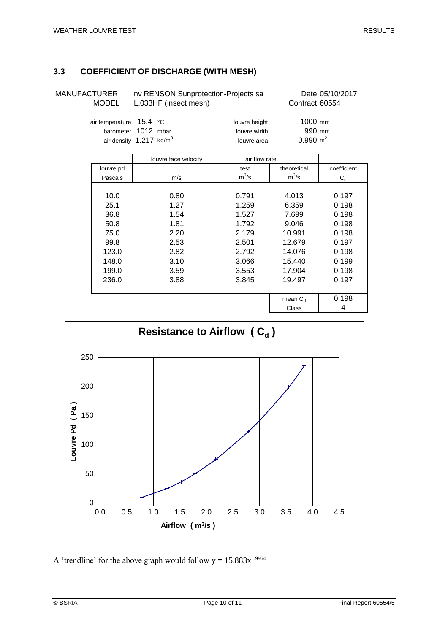## <span id="page-9-0"></span>**3.3 COEFFICIENT OF DISCHARGE (WITH MESH)**

| MANUFACTURER<br><b>MODEL</b><br>air temperature 15.4 °C<br>barometer |           | nv RENSON Sunprotection-Projects sa<br>L.033HF (insect mesh) |                                              | Date 05/10/2017<br>Contract 60554          |             |
|----------------------------------------------------------------------|-----------|--------------------------------------------------------------|----------------------------------------------|--------------------------------------------|-------------|
|                                                                      |           | 1012 mbar<br>air density 1.217 kg/m <sup>3</sup>             | louvre height<br>louvre width<br>louvre area | $1000$ mm<br>990 mm<br>$0.990 \text{ m}^2$ |             |
|                                                                      |           | louvre face velocity                                         | air flow rate                                |                                            |             |
|                                                                      | louvre pd |                                                              | test                                         | theoretical                                | coefficient |
|                                                                      | Pascals   | m/s                                                          | $m^3/s$                                      | $m^3/s$                                    | $C_{d}$     |
|                                                                      |           |                                                              |                                              |                                            |             |
|                                                                      | 10.0      | 0.80                                                         | 0.791                                        | 4.013                                      | 0.197       |
|                                                                      | 25.1      | 1.27                                                         | 1.259                                        | 6.359                                      | 0.198       |
|                                                                      | 36.8      | 1.54                                                         | 1.527                                        | 7.699                                      | 0.198       |
|                                                                      | 50.8      | 1.81                                                         | 1.792                                        | 9.046                                      | 0.198       |
|                                                                      | 75.0      | 2.20                                                         | 2.179                                        | 10.991                                     | 0.198       |
|                                                                      | 99.8      | 2.53                                                         | 2.501                                        | 12.679                                     | 0.197       |
|                                                                      | 123.0     | 2.82                                                         | 2.792                                        | 14.076                                     | 0.198       |
|                                                                      | 148.0     | 3.10                                                         | 3.066                                        | 15.440                                     | 0.199       |

199.0 3.59 3.553 17.904 0.198 236.0 3.88 3.845 19.497 0.197



A 'trendline' for the above graph would follow  $y = 15.883x^{1.9964}$